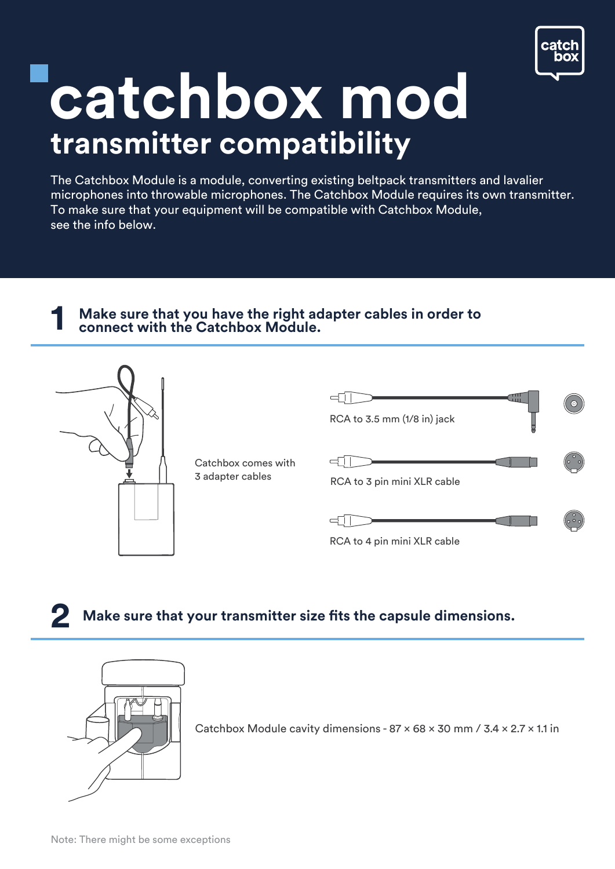

## **catchbox mod transmitter compatibility**

The Catchbox Module is a module, converting existing beltpack transmitters and lavalier microphones into throwable microphones. The Catchbox Module requires its own transmitter. To make sure that your equipment will be compatible with Catchbox Module, see the info below.

## **1 Make sure that you have the right adapter cables in order to connect with the Catchbox Module.**



**2 Make sure that your transmitter size fits the capsule dimensions.** 



Catchbox Module cavity dimensions - 87 × 68 × 30 mm / 3.4 × 2.7 × 1.1 in